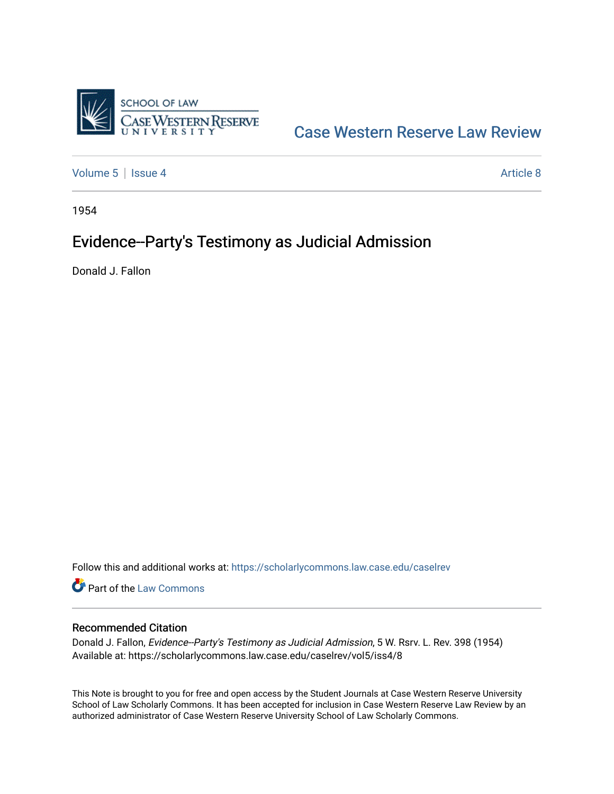

## [Case Western Reserve Law Review](https://scholarlycommons.law.case.edu/caselrev)

[Volume 5](https://scholarlycommons.law.case.edu/caselrev/vol5) | [Issue 4](https://scholarlycommons.law.case.edu/caselrev/vol5/iss4) Article 8

1954

# Evidence--Party's Testimony as Judicial Admission

Donald J. Fallon

Follow this and additional works at: [https://scholarlycommons.law.case.edu/caselrev](https://scholarlycommons.law.case.edu/caselrev?utm_source=scholarlycommons.law.case.edu%2Fcaselrev%2Fvol5%2Fiss4%2F8&utm_medium=PDF&utm_campaign=PDFCoverPages)

Part of the [Law Commons](http://network.bepress.com/hgg/discipline/578?utm_source=scholarlycommons.law.case.edu%2Fcaselrev%2Fvol5%2Fiss4%2F8&utm_medium=PDF&utm_campaign=PDFCoverPages)

### Recommended Citation

Donald J. Fallon, Evidence--Party's Testimony as Judicial Admission, 5 W. Rsrv. L. Rev. 398 (1954) Available at: https://scholarlycommons.law.case.edu/caselrev/vol5/iss4/8

This Note is brought to you for free and open access by the Student Journals at Case Western Reserve University School of Law Scholarly Commons. It has been accepted for inclusion in Case Western Reserve Law Review by an authorized administrator of Case Western Reserve University School of Law Scholarly Commons.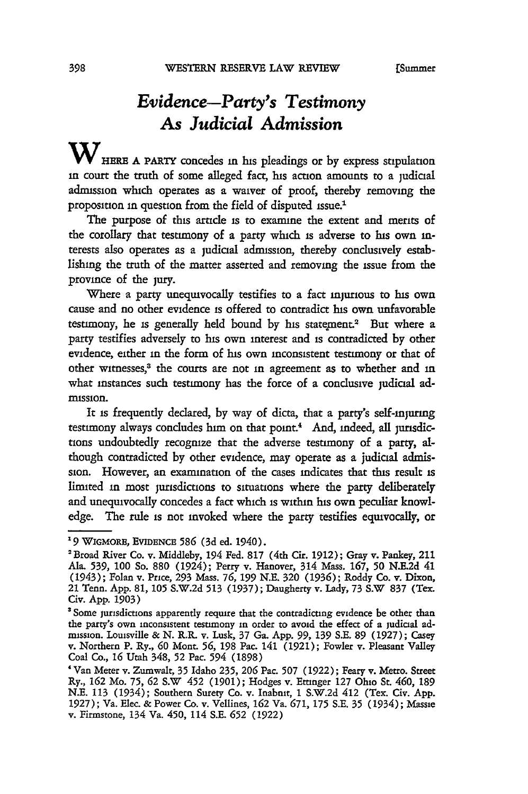### *Evidence-Party's Testimony As Judicial Admission*

WHERE A PARTY concedes in his pleadings or by express stipulation in court the truth of some alleged fact, his action amounts to a judicial admission which operates as a waiver of proof, thereby removing the proposition in question from the field of disputed issue

The purpose of this artide is to examine the extent and merits of the corollary that testimony of a party which is adverse to his own interests also operates as a judicial adrmission, thereby condusively establishing the truth of the matter asserted and removing the issue from the province of the jury.

Where a party unequivocally testifies to a fact injurious to his own cause and no other evidence is offered to contradict his own unfavorable testimony, he is generally held bound by his statement.<sup>2</sup> But where a party testifies adversely to his own interest and is contradicted by other evidence, either in the form of his own inconsistent testimony or that of other witnesses,3 the courts are not in agreement as to whether and **in** what instances such testimony has the force of a conclusive judicial admission.

It is frequently declared, by way of dicta, that a party's self-injuring testimony always concludes him on that point.<sup>4</sup> And, indeed, all jurisdictions undoubtedly recognize that the adverse testimony of a party, although contradicted by other evidence, may operate as a judicial admission. However, an examination of the cases indicates that this result **is** limited in most jurisdictions to situations where the party deliberately and unequivocally concedes a fact which is within his own peculiar knowledge. The rule is not invoked where the party testifies equivocally, or

*<sup>&#</sup>x27;9* WGMORE, EVIDENcE 586 (3d ed. 1940).

<sup>&#</sup>x27;Broad River Co. v. Middleby, 194 Fed. 817 (4th Cir. 1912); Gray v. Pankey, 211 Ala. **539, 100** So. **880** (1924); Perry v. Hanover, 314 Mass. **167, 50** N.E.2d 41 (1943); Folan v. Price, **293** Mass. **76, 199** N.E. **320 (1936);** Roddy Co. v. Dixon, 21 Tenn. App. 81, **105** S.W.2d 513 (1937); Daugherty v. Lady, 73 S.W 837 (Tex. Civ. App. **1903)**

<sup>&#</sup>x27;Some jurisdictions apparently require that the contradicting evidence be other than the party's own inconsistent testimony in order to avoid the effect of a judicial admission. Louisville **&** N. R.R. v. Lusk, 37 Ga. App. 99, **139** S.E. 89 (1927); Casey v. Northern P. Ry., **60** Mont. 56, **198** Pac. 141 (1921); Fowler v. Pleasant Valley Coal Co., **16** Utah 348, **52** Pac. 594 (1898)

<sup>&#</sup>x27;Van Meter v. Zumwalt, 35 Idaho 235, **206** Pac. **507** (1922); Feary v. Metro. Street Ry., **162** Mo. 75, **62** S.W 452 **(1901);** Hodges v. Ettinger **127** Ohio *St.* 460, **189** N.E. **113** (1934); Southern Surety Co. v. Inabnt, **1** S.W.2d 412 (Tex. Civ. App. 1927); Va. Elec. **&** Power Co. v. Vellines, **162** Va. **671, 175** S.E. **35** (1934); Massie v. Firmstone, 134 Va. 450, 114 S.E. **652** (1922)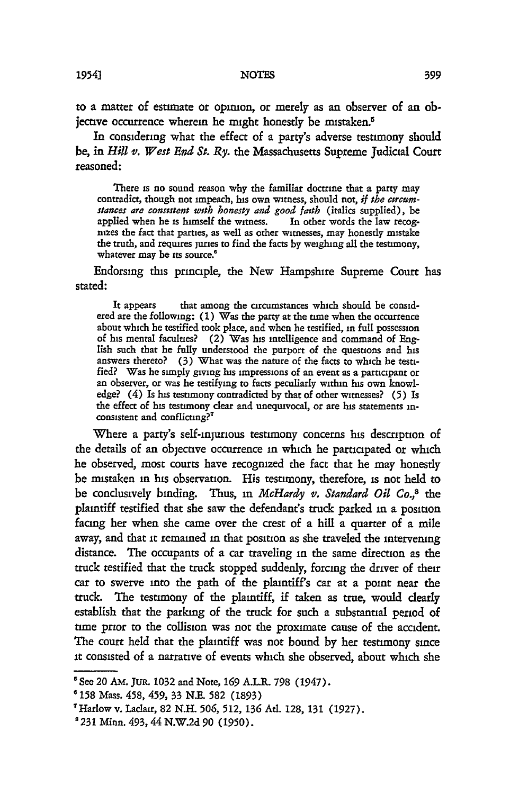to a matter of estimate or opinion, or merely as an observer of an objective occurrence wherein he might honestly be mistaken.<sup>5</sup>

In considering what the effect of a party's adverse testimony should be, in *Hill v. West End St. Ry.* the Massachusetts Supreme Judicial Court reasoned:

There is no sound reason why the familiar doctrine that a party may contradict, though not impeach, his own witness, should not, *if the circumstances are consistent with honesty and good faith* (italics supplied), be applied when he is himself the witness. In other words the law recog**nt2es** the fact that **parties,** as well as other witnesses, may honestly mistake the truth, and requires juries to find the facts by weighing all the testimony, whatever may be its source.<sup>6</sup>

Endorsing this principle, the New Hampshire Supreme Court has stated:

It appears that among the circumstances which should be considered are the following: (1) Was the party at the time when the occurrence about which he testified took place, and when he testified, in full possession of his mental faculties? (2) Was his intelligence and command of English such that he fully understood the purport of the questions and his answers thereto? (3) What was the nature of the facts to which he testified? Was he simply giving his impressions of an event as a participant or an observer, or was he testifying to facts peculiarly within his own knowledge? (4) Is his testimony contradicted by that of other witnesses? **(5)** Is the effect of his testimony dear and unequivocal, or are his statements inconsistent and conflicting?

Where a party's self-injurious testimony concerns his description of the details of an objective occurrence in which he participated or which he observed, most courts have recognized the fact that he may honestly be mistaken in his observation. His testimony, therefore, is not held to be conclusively binding. Thus, **in** *McHardy v. Standard Oil* **Co.,8** the plaintiff testified that she saw the defendant's truck parked in a position facing her when she came over the crest of a hill a quarter of a mile away, and that it remained **in** that position as she traveled the intervening distance. The occupants of a car traveling in the same direction as the truck testified that the truck stopped suddenly, forcing the driver of their car to swerve into the path of the plaintiff's car at a point near the truck. The testimony of the plaintiff, if taken as true, would dearly establish that the parking of the truck for such a substantial period of time prior to the collision was not the proximate cause of the accident. The court held that the plaintiff was not bound by her testimony since it consisted of a narrative of events which she observed, about which she

<sup>&</sup>lt;sup>5</sup> See 20 AM. JUR. 1032 and Note, 169 A.L.R. 798 (1947).<br><sup>6</sup> 158 Mass. 458, 459, 33 N.E. 582 (1893)

<sup>&#</sup>x27;Harlow v. Ladair, 82 N.H. **506,** 512, **136** At. 128, 131 (1927).

<sup>&#</sup>x27;231 Minn. 493, 44 N.W.2d **90** (1950).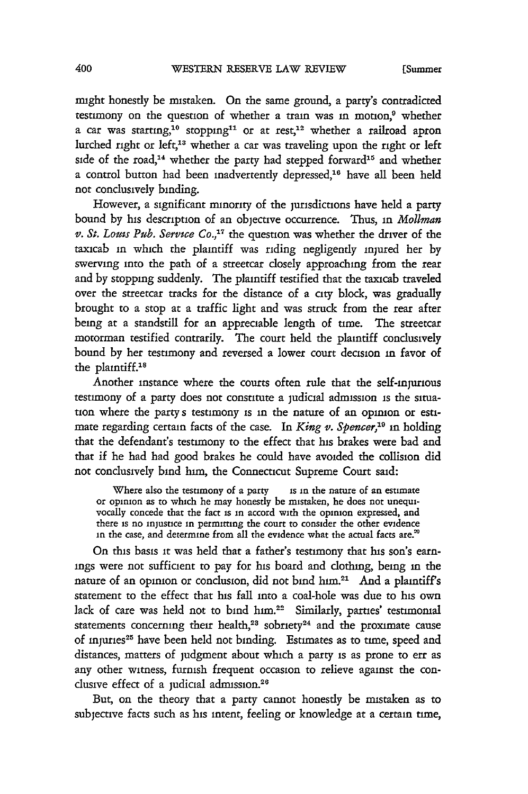might honestly be mistaken. On the same ground, a party's contradicted testimony on the question of whether a train was in motion,<sup>9</sup> whether a car was starting,<sup>10</sup> stopping<sup>11</sup> or at rest,<sup>12</sup> whether a railroad apron lurched right or left,<sup>13</sup> whether a car was traveling upon the right or left side of the road,<sup>14</sup> whether the party had stepped forward<sup>15</sup> and whether a control button had been inadvertently depressed,<sup>16</sup> have all been held not conclusively binding.

However, a significant minority of the jurisdictions have held a party bound by his description of an objective occurrence. Thus, in *Mollman v. St. Louis Pub. Service Co.*,<sup>17</sup> the question was whether the driver of the taxicab in which the plaintiff was riding negligently injured her by swerving into the path of a streetcar closely approaching from the rear and by stopping suddenly. The plaintiff testified that the taxicab traveled over the streetcar tracks for the distance of a city block, was gradually brought to a stop at a traffic light and was struck from the rear after being at a standstill for an appreciable length of time. The streetcar motorman testified contrarily. The court held the plaintiff conclusively bound by her testimony and reversed a lower court decision in favor of the plaintiff.<sup>18</sup>

Another instance where the courts often rule that the self-injurious testimony of a party does not constitute a judicial admission is the situation where the party s testimony is in the nature of an opinion or estimate regarding certain facts of the case. In *King v. Spencer*,<sup>19</sup> in holding that the defendant's testimony to the effect that his brakes were bad and that if he had had good brakes he could have avoided the collision did not conclusively bind him, the Connecticut Supreme Court said:

Where also the testimony of a party is in the nature of an estimate or opinion as to which he may honestly be mistaken, he does not unequivocally concede that the fact is in accord with the opinion expressed, and there is no injustice in permitting the court to consider the other evidence in the case, and determine from all the evidence what the actual facts are."

On this basis it was held that a father's testimony that his son's earnings were not sufficient to pay for his board and clothing, being **in** the nature of an opinion or conclusion, did not bind him.<sup>21</sup> And a plaintiff's statement to the effect that his fall into a coal-hole was due to his own lack of care was held not to bind him.<sup>22</sup> Similarly, parties' testimonial statements concerning their health,<sup>23</sup> sobriety<sup>24</sup> and the proximate cause of injuries 25 have been held not binding. Estimates as to time, speed and distances, matters of judgment about which a party is as prone to err as any other witness, furnish frequent occasion to relieve against the conclusive effect of a judicial admission.<sup>26</sup>

But, on the theory that a party cannot honestly be mistaken as to subjective facts such as his intent, feeling or knowledge at a certain time,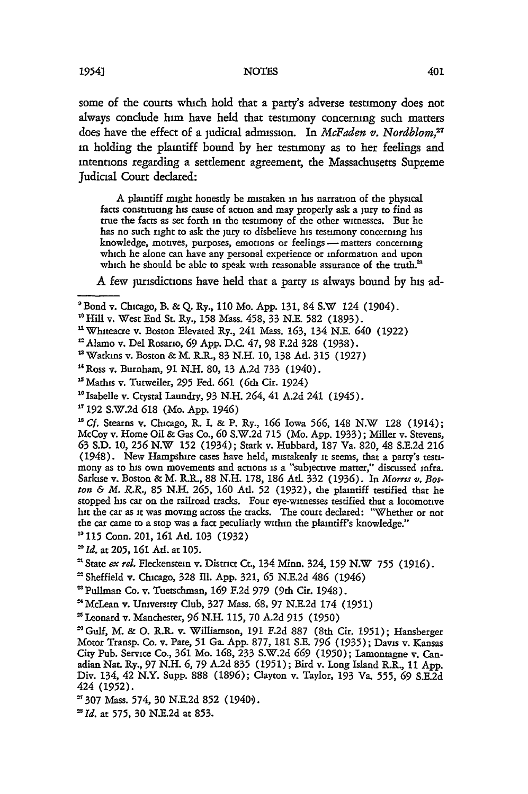#### **NOTES**

some of the courts which hold that a party's adverse testimony does not always conclude him have held that testimony concermng such matters does have the effect of a judicial admission. In *McFaden v. Nordblom,27* in holding the plaintiff bound by her testimony as to her feelings and intentions regarding a settlement agreement, the Massachusetts Supreme Judicial Court declared:

A plaintiff might honestly be mistaken in his narration of the physical facts constituting his cause of action and may properly ask a jury to find as true the facts as set forth in the testimony of the other witnesses. But he has no such right to ask the jury to disbelieve his testimony concerning his knowledge, motives, purposes, emotions or feelings - matters concerning which he alone can have any personal expetience or information and upon which he should be able to speak with reasonable assurance of the truth.<sup>23</sup>

A few jurisdictions have held that a party is always bound by his ad-

**'** 115 Conn. 201, **161** Ad. **103** (1932)

<sup>&#</sup>x27;Bond v. Chicago, B. & Q. Ry., 110 Mo. App. 131, 84 S.W 124 (1904).

**<sup>&</sup>quot;** Hill v. West End St. Ry., 158 Mass. 458, 33 N.E. **582** (1893).

 $11$  Whiteacre v. Boston Elevated Ry., 241 Mass. 163, 134 N.E. 640 (1922)

<sup>&#</sup>x27;Alamo v. Del Rosario, **69** App. D.C. 47, 98 F.2d 328 (1938).

<sup>&#</sup>x27;Watkins v. Boston &M. R.R., 83 N.H. **10,** 138 Atl. **315** (1927)

<sup>1</sup> Ross v. Burnham, **91** N.H. 80, 13 A.2d 733 (1940).

**<sup>&</sup>quot;** Mathis v. Tutweiler, *295* Fed. **661** (6th Cir. 1924)

<sup>&</sup>lt;sup>16</sup> Isabelle v. Crystal Laundry, 93 N.H. 264, 41 A.2d 241 (1945).

<sup>&</sup>lt;sup>17</sup> 192 S.W.2d 618 (Mo. App. 1946)

*IsCf.* Stearns v. Chicago, R. I. & P. Ry., **166** Iowa **566,** 148 N.W 128 (1914); McCoy v. Home Oil & Gas Co., **60** S.W.2d 715 (Mo. App. 1933); Miller v. Stevens, **63** S.D. **10, 256** N.W **152** (1934); Stark v. Hubbard, 187 Va. 820, 48 S.E.2d **216** (1948). New Hampshire cases have held, mistakenly it seems, that a party's testimony as to his own movements and actions is a "subjective matter," discussed infra. Sarkise v. Boston & M. R.R., 88 N.H. 178, **186** Ad. 332 (1936). In *Morris v. Boston & M. R.R.,* **85** N.H. 265, **160** Atl. **52** (1932), the plaintiff testified that he stopped his car on the railroad tracks. Four eye-witnesses testified that a locomotive hit the car as **it** was moving across the tracks. The court declared: "Whether or not the car came to a stop was a fact peculiarly within the plaintiff's knowledge."

*IId.* at 205, **161** Atl. at **105.**

**I** State *exrel.* Fleckenstein v. District Ct., 134 Minn. 324, **159** N.W **755** (1916).

<sup>&</sup>lt;sup>22</sup> Sheffield v. Chicago, 328 Ill. App. 321, 65 N.E.2d 486 (1946) **a** Pullman Co. v. Tuetschman, 169 F.2d 979 (9th Cir. 1948).

<sup>&#</sup>x27;McLean v. University Club, 327 Mass. **68,** 97 N.E.2d 174 (1951) 'Leonard v. Manchester, **96** N.H. 115, 70 A.2d **915** (1950)

<sup>&#</sup>x27;Gulf, M. & **0.** R. v. Williamson, **191** F.2d 887 (8th Cit. 1951); Hansberger Motor Transp. Co. v. Pate, **51** Ga. App. 877, 181 S.E. **796** (1935); Davis v. Kansas City Pub. Service Co., **361** Mo. **168,** 233 S.W.2d *669* **(1950);** Lamontagne v. Canadian Nat. Ry., 97 N.H. *6,* 79 A.2d 835 (1951); Bird v. Long Island R.R., 11 App. Div. 134, 42 N.Y. Supp. 888 (1896); Clayton v. Taylor, 193 Va. **555,** *69* S.E.2d 424 (1952).

**<sup>307</sup>** Mass. 574, 30 N.E.2d **852** (1940').

*Id.* at **575, 30** N.E.2d at 853.